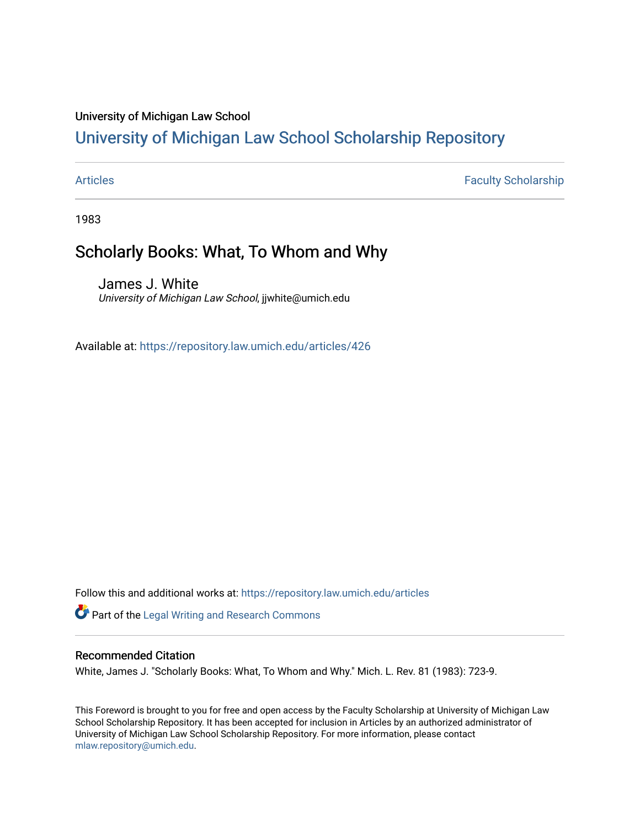### University of Michigan Law School

# [University of Michigan Law School Scholarship Repository](https://repository.law.umich.edu/)

[Articles](https://repository.law.umich.edu/articles) **Faculty Scholarship** 

1983

# Scholarly Books: What, To Whom and Why

James J. White University of Michigan Law School, jjwhite@umich.edu

Available at: <https://repository.law.umich.edu/articles/426>

Follow this and additional works at: [https://repository.law.umich.edu/articles](https://repository.law.umich.edu/articles?utm_source=repository.law.umich.edu%2Farticles%2F426&utm_medium=PDF&utm_campaign=PDFCoverPages) 

Part of the [Legal Writing and Research Commons](http://network.bepress.com/hgg/discipline/614?utm_source=repository.law.umich.edu%2Farticles%2F426&utm_medium=PDF&utm_campaign=PDFCoverPages) 

#### Recommended Citation

White, James J. "Scholarly Books: What, To Whom and Why." Mich. L. Rev. 81 (1983): 723-9.

This Foreword is brought to you for free and open access by the Faculty Scholarship at University of Michigan Law School Scholarship Repository. It has been accepted for inclusion in Articles by an authorized administrator of University of Michigan Law School Scholarship Repository. For more information, please contact [mlaw.repository@umich.edu.](mailto:mlaw.repository@umich.edu)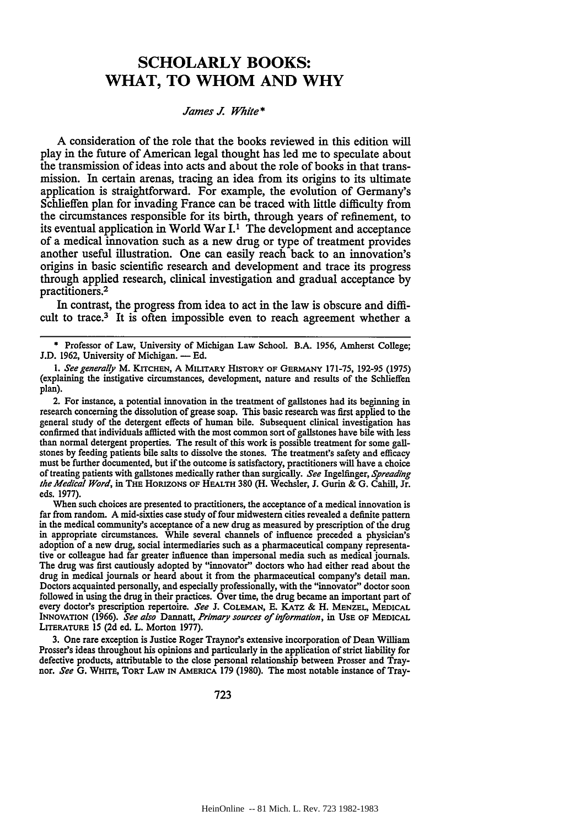## **SCHOLARLY BOOKS: WHAT, TO WHOM AND WHY**

#### *James . White\**

A consideration of the role that the books reviewed in this edition will play in the future of American legal thought has led me to speculate about the transmission of ideas into acts and about the role of books in that transmission. In certain arenas, tracing an idea from its origins to its ultimate application is straightforward. For example, the evolution of Germany's Schlieffen plan for invading France can be traced with little difficulty from the circumstances responsible for its birth, through years of refinement, to its eventual application in World War **.1** The development and acceptance of a medical innovation such as a new drug or type of treatment provides another useful illustration. One can easily reach back to an innovation's origins in basic scientific research and development and trace its progress through applied research, clinical investigation and gradual acceptance **by** practitioners.<sup>2</sup>

In contrast, the progress from idea to act in the law is obscure and difficult to trace.<sup>3</sup> It is often impossible even to reach agreement whether a

2. For instance, a potential innovation in the treatment of gallstones had its beginning in research concerning the dissolution of grease soap. This basic research was first applied to the general study of the detergent effects of human bile. Subsequent clinical investigation has confirmed that individuals afflicted with the most common sort of gallstones have bile with less than normal detergent properties. The result of this work is possible treatment for some gallstones by feeding patients bile salts to dissolve the stones. The treatment's safety and efficacy must be further documented, but if the outcome is satisfactory, practitioners will have a choice of treating patients with gallstones medically rather than surgically. *See* Ingelfinger, *Spreading the Medical Word,* in THE HORIZONS OF HEALTH **380** (H. Wechsler, J. Gurin & G. Cahill, Jr. eds. 1977).

When such choices are presented to practitioners, the acceptance of a medical innovation is far from random. A mid-sixties case study of four midwestern cities revealed a definite pattern in the medical community's acceptance of a new drug as measured by prescription of the drug in appropriate circumstances. While several channels of influence preceded a physician's adoption of a new drug, social intermediaries such as a pharmaceutical company representative or colleague had far greater influence than impersonal media such as medical journals. The drug was first cautiously adopted by "innovator" doctors who had either read about the drug in medical journals or heard about it from the pharmaceutical company's detail man. Doctors acquainted personally, and especially professionally, with the "innovator" doctor soon followed in using the drug in their practices. Over time, the drug became an important part of every doctor's prescription repertoire. *See* J. COLEMAN, E. **KATZ &** H. **MENZEL,** MEDICAL **INNOVATION** (1966). *See also* Dannatt, *Primary sources ofinformation,* in **UsE OF** MEDICAL LITERATURE 15 **(2d** ed. L. Morton 1977).

3. One rare exception is Justice Roger Traynor's extensive incorporation of Dean William Prosser's ideas throughout his opinions and particularly in the application of strict liability for defective products, attributable to the close personal relationship between Prosser and Traynor. *See* G. WHTrrE, **TORT** LAW **IN AMERICA** 179 (1980). The most notable instance of Tray-

<sup>\*</sup> Professor of Law, University of Michigan Law School. B.A. 1956, Amherst College; J.D. 1962, University of Michigan. - Ed.

*<sup>1.</sup> See generally* M. KITCHEN, **A MILITARY** HISTORY OF **GERMANY** 171-75, 192-95 (1975) (explaining the instigative circumstances, development, nature and results of the Schlieffen plan).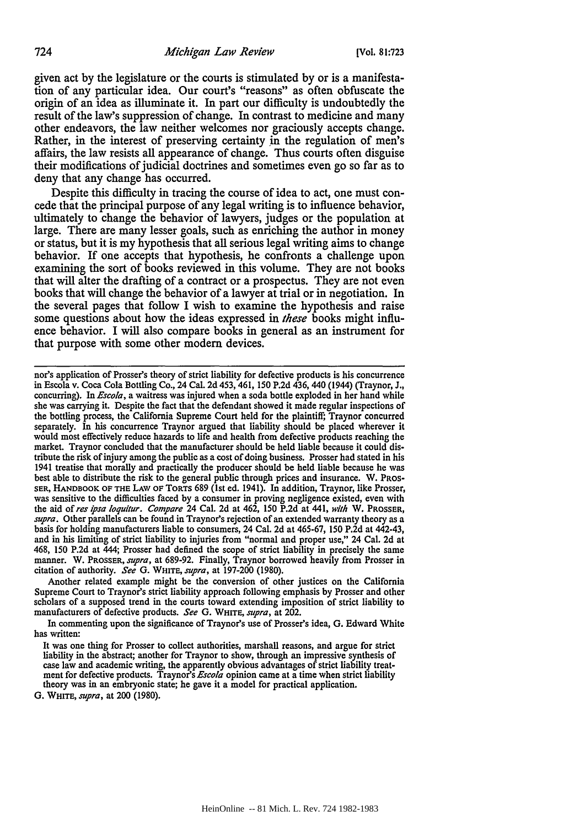given act **by** the legislature or the courts is stimulated **by** or is a manifesta**tion** of any particular idea. Our court's "reasons" as often obfuscate the origin of an idea as illuminate it. In part our difficulty is undoubtedly the result of the law's suppression of change. In contrast to medicine and many other endeavors, the law neither welcomes nor graciously accepts change. Rather, in the interest of preserving certainty in the regulation of men's affairs, the law resists all appearance of change. Thus courts often disguise their modifications of judicial doctrines and sometimes even go so far as to deny that any change has occurred.

Despite this difficulty in tracing the course of idea to act, one must concede that the principal purpose of any legal writing is to influence behavior, ultimately to change the behavior of lawyers, judges or the population at large. There are many lesser goals, such as enriching the author in money or status, but it is my hypothesis that all serious legal writing aims to change behavior. If one accepts that hypothesis, he confronts a challenge upon examining the sort of books reviewed in this volume. They are not books that will alter the drafting of a contract or a prospectus. They are not even books that will change the behavior of a lawyer at trial or in negotiation. In the several pages that follow **I** wish to examine the hypothesis and raise some questions about how the ideas expressed in *these* books might influence behavior. I will also compare books in general as an instrument for that purpose with some other modem devices.

nor's application of Prosser's theory of strict liability for defective products is his concurrence in Escola v. Coca Cola Bottling Co., 24 Cal. **2d** 453, 461, 150 P.2d 436, 440 (1944) (Traynor, J., concurring). In *Escola,* a waitress was injured when a soda bottle exploded in her hand while she was carrying it. Despite the fact that the defendant showed it made regular inspections of the bottling process, the California Supreme Court held for the plaintiff; Traynor concurred separately. In his concurrence Traynor argued that liability should be placed wherever it would most effectively reduce hazards to life and health from defective products reaching the market. Traynor concluded that the manufacturer should be held liable because it could distribute the risk of injury among the public as a cost of doing business. Prosser had stated in his 1941 treatise that morally and practically the producer should be held liable because he was best able to distribute the risk to the general public through prices and insurance. W. Pros-**SER, HANDBOOK OF THE LAW** OF TORTS **689** (lst ed. 1941). In addition, Traynor, like Prosser, was sensitive to the difficulties faced by a consumer in proving negligence existed, even with the aid of *res ipsa loquitur. Compare* 24 Cal. 2d at 462, 150 P.2d at 441, *with* W. PROSSER, *supra.* Other parallels can be found in Traynor's rejection of an extended warranty theory as a basis for holding manufacturers liable to consumers, 24 Cal. 2d at 465-67, 150 P.2d at 442-43, and in his limiting of strict liability to injuries from "normal and proper use," 24 Cal. 2d at 468, 150 P.2d at 444; Prosser had defined the scope of strict liability in precisely the same manner. W. PROSSER, *supra,* at 689-92. Finally, Traynor borrowed heavily from Prosser in citation of authority. *See* G. **WHiTE,** *supra,* at 197-200 (1980).

Another related example might be the conversion of other justices on the California Supreme Court to Traynor's strict liability approach following emphasis by Prosser and other scholars of a supposed trend in the courts toward extending imposition of strict liability to manufacturers of defective products. *See G.* **WHITE,** *supra,* at 202.

In commenting upon the significance of Traynor's use of Prosser's idea, G. Edward White has written:

It was one thing for Prosser to collect authorities, marshall reasons, and argue for strict liability in the abstract; another for Traynor to show, through an impressive synthesis of case law and academic writing, the apparently obvious advantages of strict liability treatment for defective products. Traynor's *Escola* opinion came at a time when strict liability theory was in an embryonic state; he gave it a model for practical application.

G. *WHITE, supra,* at 200 (1980).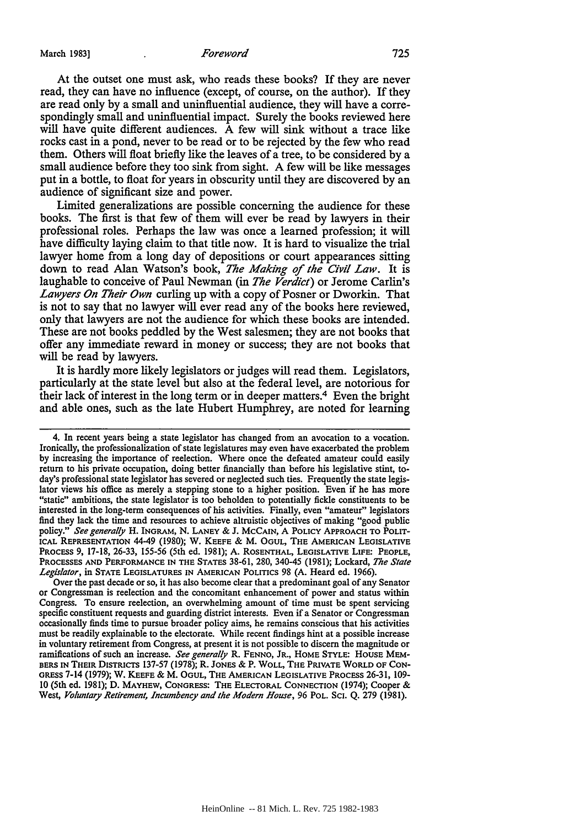At the outset one must ask, who reads these books? If they are never read, they can have no influence (except, of course, on the author). If they are read only **by** a small and uninfluential audience, they will have a correspondingly small and uninfluential impact. Surely the books reviewed here will have quite different audiences. **A** few will sink without a trace like rocks cast in a pond, never to be read or to be rejected **by** the few who read them. Others will float briefly like the leaves of a tree, to be considered **by** a small audience before they too sink from sight. **A** few will be like messages put in a bottle, to float for years in obscurity until they are discovered **by** an audience of significant size and power.

Limited generalizations are possible concerning the audience for these books. The first is that few of them will ever be read **by** lawyers in their professional roles. Perhaps the law was once a learned profession; it will have difficulty laying claim to that title now. It is hard to visualize the trial lawyer home from a long day of depositions or court appearances sitting down to read Alan Watson's book, *The Making of the Civil Law.* It is laughable to conceive of Paul Newman (in *The Verdict)* or Jerome Carlin's *Lawyers On Their Own* curling up with a copy of Posner or Dworkin. That is not to say that no lawyer will ever read any of the books here reviewed, only that lawyers are not the audience for which these books are intended. These are not books peddled **by** the West salesmen; they are not books that offer any immediate reward in money or success; they are not books that will be read **by** lawyers.

It is hardly more likely legislators or judges will read them. Legislators, particularly at the state level but also at the federal level, are notorious for their lack of interest in the long term or in deeper matters.4 Even the bright and able ones, such as the late Hubert Humphrey, are noted for learning

Over the past decade or so, it has also become clear that a predominant goal of any Senator or Congressman is reelection and the concomitant enhancement of power and status within Congress. To ensure reelection, an overwhelming amount of time must be spent servicing specific constituent requests and guarding district interests. Even if a Senator or Congressman occasionally finds time to pursue broader policy aims, he remains conscious that his activities must be readily explainable to the electorate. While recent findings hint at a possible increase in voluntary retirement from Congress, at present it is not possible to discern the magnitude or ramifications of such an increase. *See generally* R. **FENNO,** JR., HOME STYLE: HOUSE MEM-BERS **IN** THEIR DISTRICTS 137-57 (1978); R. JONES & P. WOLL, **THE** PRIVATE WORLD OF CON-GRESS 7-14 (1979); W. **KEEFE** & M. **OGUL,** THE **AMERICAN LEGISLATIVE** PROCESS 26-31, 109- **10** (5th ed. 1981); D. MAYHEW, CONGRESS: **THE** ELECTORAL **CONNECTION** (1974); Cooper & *West, Voluntary Retirement, Incumbency and the Modern House,* 96 POL. Sci. Q. 279 (1981).

<sup>4.</sup> In recent years being a state legislator has changed from an avocation to a vocation. Ironically, the professionalization of state legislatures may even have exacerbated the problem **by** increasing the importance of reelection. Where once the defeated amateur could easily return to his private occupation, doing better financially than before his legislative stint, today's professional state legislator has severed or neglected such ties. Frequently the state legislator views his office as merely a stepping stone to a higher position. Even if he has more "static" ambitions, the state legislator is too beholden to potentially fickle constituents to be interested in the long-term consequences of his activities. Finally, even "amateur" legislators find they lack the time and resources to achieve altruistic objectives of making "good public policy." *See generally* H. INGRAM, N. **LANEY** & J. MCCAIN, A POLICY APPROACH TO POLIT-**ICAL** REPRESENTATION 44-49 (1980); W. **KEEFE** & M. **OGUL, THE** AMERICAN **LEGISLATIVE PROCESS** 9, **17-18, 26-33,** 155-56 (5th ed. 1981); **A. ROSENTHAL, LEGISLATIVE LIFE:** PEOPLE, **PROCESSES AND** PERFORMANCE **IN THE** STATES 38-61, 280, 340-45 (1981); Lockard, *The State Legislator,* in **STATE LEGISLATURES IN AMERICAN POLITICS** 98 (A. Heard ed. 1966).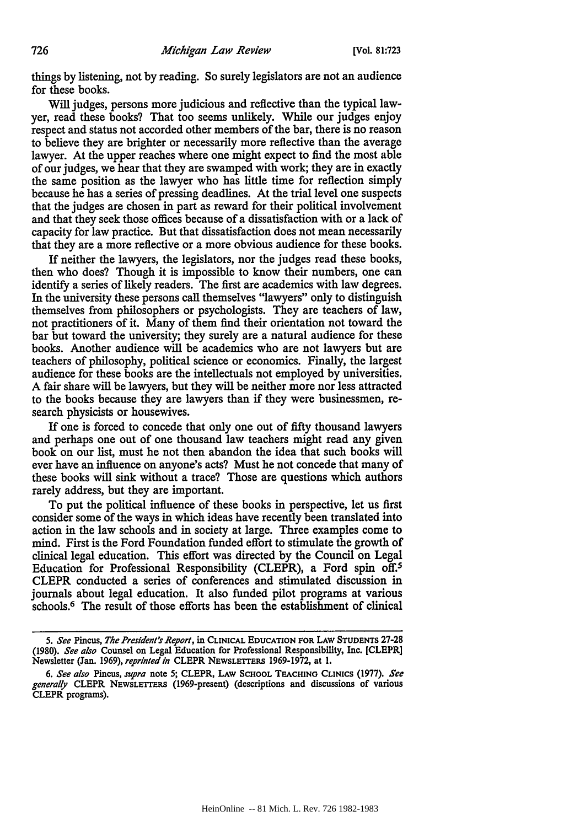things by listening, not by reading. So surely legislators are not an audience for these books.

Will judges, persons more judicious and reflective than the typical lawyer, read these books? That too seems unlikely. While our judges enjoy respect and status not accorded other members of the bar, there is no reason to believe they are brighter or necessarily more reflective than the average lawyer. At the upper reaches where one might expect to find the most able of our judges, we hear that they are swamped with work; they are in exactly the same position as the lawyer who has little time for reflection simply because he has a series of pressing deadlines. At the trial level one suspects that the judges are chosen in part as reward for their political involvement and that they seek those offices because of a dissatisfaction with or a lack of capacity for law practice. But that dissatisfaction does not mean necessarily that they are a more reflective or a more obvious audience for these books.

If neither the lawyers, the legislators, nor the judges read these books, then who does? Though it is impossible to know their numbers, one can identify a series of likely readers. The first are academics with law degrees. In the university these persons call themselves "lawyers" only to distinguish themselves from philosophers or psychologists. They are teachers of law, not practitioners of it. Many of them find their orientation not toward the bar but toward the university; they surely are a natural audience for these books. Another audience will be academics who are not lawyers but are teachers of philosophy, political science or economics. Finally, the largest audience for these books are the intellectuals not employed by universities. A fair share will be lawyers, but they will be neither more nor less attracted to the books because they are lawyers than if they were businessmen, research physicists or housewives.

If one is forced to concede that only one out of fifty thousand lawyers and perhaps one out of one thousand law teachers might read any given book on our list, must he not then abandon the idea that such books will ever have an influence on anyone's acts? Must he not concede that many of these books will sink without a trace? Those are questions which authors rarely address, but they are important.

To put the political influence of these books in perspective, let us first consider some of the ways in which ideas have recently been translated into action in the law schools and in society at large. Three examples come to mind. First is the Ford Foundation funded effort to stimulate the growth of clinical legal education. This effort was directed by the Council on Legal Education for Professional Responsibility (CLEPR), a Ford spin off.5 CLEPR conducted a series of conferences and stimulated discussion in journals about legal education. It also funded pilot programs at various schools.<sup>6</sup> The result of those efforts has been the establishment of clinical

*<sup>5.</sup> See Pincus, The President's Report,* **in** CLINICAL **EDUCATION FOR LAW** STUDENTS **27-28** (1980). *See also* Counsel on Legal Education for Professional Responsibility, Inc. [CLEPR] Newsletter (Jan. 1969), *reprinted in* CLEPR NEWSLETTERS 1969-1972, at 1.

*<sup>6.</sup> See also Pincus, supra* note 5; CLEPR, LAW SCHOOL TEACHING **CLINICS** (1977). *See generally* CLEPR **NEWSLETERS** (1969-present) (descriptions and discussions of various CLEPR programs).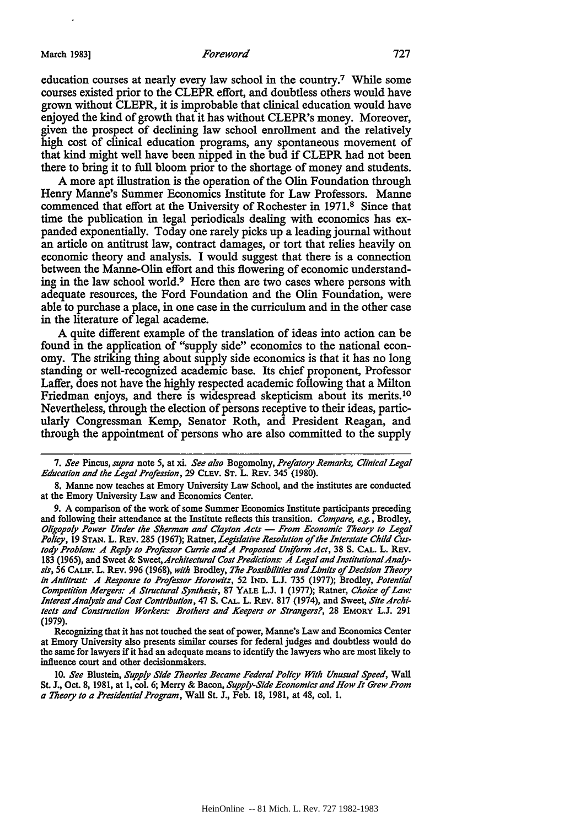education courses at nearly every law school in the country. <sup>7</sup>**While** some courses existed prior to the CLEPR effort, and doubtless others would have grown without CLEPR, it is improbable that clinical education would have enjoyed the kind of growth that it has without CLEPR's money. Moreover, given the prospect of declining law school enrollment and the relatively high cost of clinical education programs, any spontaneous movement of that kind might well have been nipped in the bud **if** CLEPR had not been there to bring it to full bloom prior to the shortage of money and students.

**A** more apt illustration is the operation of the Olin Foundation through Henry Manne's Summer Economics Institute for Law Professors. Manne commenced that effort at the University of Rochester in **1971.8** Since that time the publication in legal periodicals dealing with economics has expanded exponentially. Today one rarely picks up a leading journal without an article on antitrust law, contract damages, or tort that relies heavily on economic theory and analysis. I would suggest that there is a connection between the Manne-Olin effort and this flowering of economic understanding in the law school world.9 Here then are two cases where persons with adequate resources, the Ford Foundation and the Olin Foundation, were able to purchase a place, in one case in the curriculum and in the other case in the literature of legal academe.

**A** quite different example of the translation of ideas into action can be found in the application of "supply side" economics to the national economy. The striking thing about supply side economics is that it has no long standing or well-recognized academic base. Its chief proponent, Professor Laffer, does not have the **highly** respected academic following that a Milton Friedman enjoys, and there is widespread skepticism about its merits. <sup>10</sup> Nevertheless, through the election of persons receptive to their ideas, particularly Congressman Kemp, Senator Roth, and President Reagan, and through the appointment of persons who are also committed to the supply

9. A comparison of the work of some Summer Economics Institute participants preceding and following their attendance at the Institute reflects this transition. *Compare, e.g.,* Brodley, *Oligopoly Power Under the Sherman and Clayton Acts* - *From Economic Theory to Legal Policy,* 19 **STAN.** L. REv. 285 (1967); Ratner, *Legislative Resolution of the Interstate Child Cus*tody Problem: A Reply to Professor Currie and A Proposed Uniform Act, 38 S. CAL. L. REV. 183 (1965), and Sweet *& Sweet,Architectural Cost Predictions: A Legal and lnstitutionalAnalsis,* 56 CALIF. L. REV. **996** (1968), *with* Brodley, *The Possibilities andLimits of Decision Theory in Antitrust: A Response to Professor Horowitz, 52* **IND. L.J.** 735 (1977); Brodley, *Potential Competition Mergers: A Structural Synthesis,* 87 **YALE** L.J. 1 (1977); Ratner, *Choice of Law: Interest Analysis and Cost Contribution, 47* **S. CAL.** L. REv. 817 (1974), and Sweet, *Site Architects and Construction Workers: Brothers and Keepers or Strangers?,* 28 EMORY **L.J. 291** (1979).

Recognizing that it has not touched the seat of power, Manne's Law and Economics Center at Emory University also presents similar courses for federal judges and doubtless would do the same for lawyers if it had an adequate means to identify the lawyers who are most likely to influence court and other decisionmakers.

*10. See* Blustein, *Supply Side Theories Became Federal Policy With Unusual Speed, Wall* St. J., Oct. 8, 1981, at 1, col. 6; Merry & Bacon, *Supply-Side Economics and How It Grew From a Theory to a Presidential Program,* Wall St. J., Feb. 18, 1981, at 48, col. I.

*<sup>7.</sup> See* Pincus, *supra* note *5,* at xi. *See also* Bogomolny, *Prefatory Remarks, Clinical Legal Education and the Legal Profession,* **29** CLEV. ST. L. REv. 345 (1980).

<sup>8.</sup> Manne now teaches at Emory University Law School, and the institutes are conducted at the Emory University Law and Economics Center.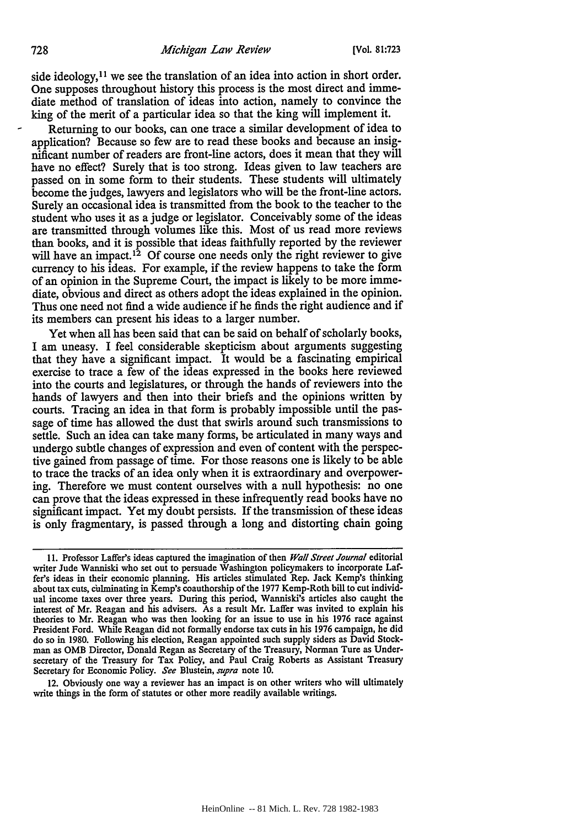side ideology,<sup>11</sup> we see the translation of an idea into action in short order. One supposes throughout history this process is the most direct and immediate method of translation of ideas into action, namely to convince the king of the merit of a particular idea so that the king will implement it.

Returning to our books, can one trace a similar development of idea to application? Because so few are to read these books and because an insignificant number of readers are front-line actors, does it mean that they will have no effect? Surely that is too strong. Ideas given to law teachers are passed on in some form to their students. These students will ultimately become the judges, lawyers and legislators who will be the front-line actors. Surely an occasional idea is transmitted from the book to the teacher to the student who uses it as a judge or legislator. Conceivably some of the ideas are transmitted through volumes like this. Most of us read more reviews than books, and it is possible that ideas faithfully reported by the reviewer will have an impact.<sup>12</sup> Of course one needs only the right reviewer to give currency to his ideas. For example, if the review happens to take the form of an opinion in the Supreme Court, the impact is likely to be more immediate, obvious and direct as others adopt the ideas explained in the opinion. Thus one need not find a wide audience if he finds the right audience and if its members can present his ideas to a larger number.

Yet when all has been said that can be said on behalf of scholarly books, I am uneasy. I feel considerable skepticism about arguments suggesting that they have a significant impact. It would be a fascinating empirical exercise to trace a few of the ideas expressed in the books here reviewed into the courts and legislatures, or through the hands of reviewers into the hands of lawyers and then into their briefs and the opinions written by courts. Tracing an idea in that form is probably impossible until the passage of time has allowed the dust that swirls around such transmissions to settle. Such an idea can take many forms, be articulated in many ways and undergo subtle changes of expression and even of content with the perspective gained from passage of time. For those reasons one is likely to be able to trace the tracks of an idea only when it is extraordinary and overpowering. Therefore we must content ourselves with a null hypothesis: no one can prove that the ideas expressed in these infrequently read books have no significant impact. Yet my doubt persists. If the transmission of these ideas is only fragmentary, is passed through a long and distorting chain going

12. Obviously one way a reviewer has an impact is on other writers who will ultimately write things in the form of statutes or other more readily available writings.

<sup>11.</sup> Professor Laffer's ideas captured the imagination of then *Wall* Street Journal editorial writer Jude Wanniski who set out to persuade Washington policymakers to incorporate Laffer's ideas in their economic planning. His articles stimulated Rep. Jack Kemp's thinking about tax cuts, culminating in Kemp's coauthorship of the 1977 Kemp-Roth bill to cut individual income taxes over three years. During this period, Wanniski's articles also caught the interest of Mr. Reagan and his advisers. As a result Mr. Laffer was invited to explain his theories to Mr. Reagan who was then looking for an issue to use in his 1976 race against President Ford. While Reagan did not formally endorse tax cuts in his 1976 campaign, he did do so in 1980. Following his election, Reagan appointed such supply siders as David Stockman as OMB Director, Donald Regan as Secretary of the Treasury, Norman Ture as Undersecretary of the Treasury for Tax Policy, and Paul Craig Roberts as Assistant Treasury Secretary for Economic Policy. *See* Blustein, *supra* note 10.